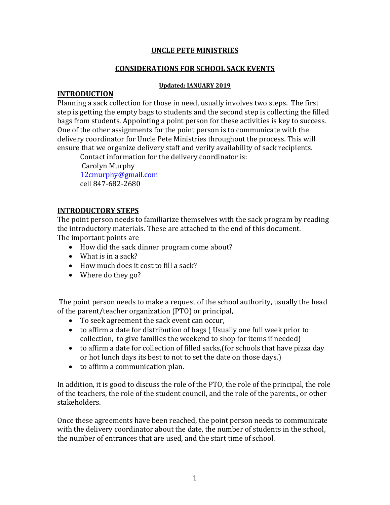#### **UNCLE PETE MINISTRIES**

#### **CONSIDERATIONS FOR SCHOOL SACK EVENTS**

#### **Updated: JANUARY 2019**

#### **INTRODUCTION**

Planning a sack collection for those in need, usually involves two steps. The first step is getting the empty bags to students and the second step is collecting the filled bags from students. Appointing a point person for these activities is key to success. One of the other assignments for the point person is to communicate with the delivery coordinator for Uncle Pete Ministries throughout the process. This will ensure that we organize delivery staff and verify availability of sack recipients.

Contact information for the delivery coordinator is: Carolyn Murphy [12cmurphy@gmail.com](mailto:12cmurphy@gmail.dom) cell 847-682-2680

#### **INTRODUCTORY STEPS**

The point person needs to familiarize themselves with the sack program by reading the introductory materials. These are attached to the end of this document. The important points are

- How did the sack dinner program come about?
- What is in a sack?
- How much does it cost to fill a sack?
- Where do they go?

The point person needs to make a request of the school authority, usually the head of the parent/teacher organization (PTO) or principal,

- To seek agreement the sack event can occur,
- to affirm a date for distribution of bags ( Usually one full week prior to collection, to give families the weekend to shop for items if needed)
- to affirm a date for collection of filled sacks,(for schools that have pizza day or hot lunch days its best to not to set the date on those days.)
- to affirm a communication plan.

In addition, it is good to discuss the role of the PTO, the role of the principal, the role of the teachers, the role of the student council, and the role of the parents., or other stakeholders.

Once these agreements have been reached, the point person needs to communicate with the delivery coordinator about the date, the number of students in the school, the number of entrances that are used, and the start time of school.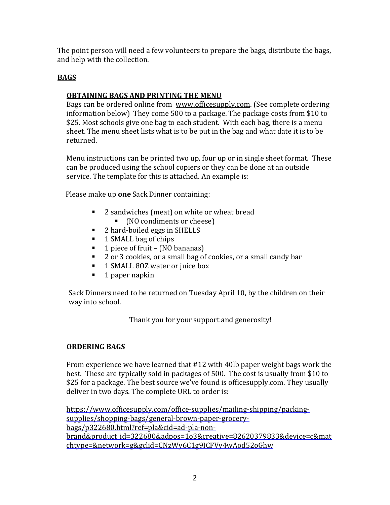The point person will need a few volunteers to prepare the bags, distribute the bags, and help with the collection.

## **BAGS**

## **OBTAINING BAGS AND PRINTING THE MENU**

Bags can be ordered online from [www.officesupply.com.](http://www.officesupply.com/) (See complete ordering information below) They come 500 to a package. The package costs from \$10 to \$25. Most schools give one bag to each student. With each bag, there is a menu sheet. The menu sheet lists what is to be put in the bag and what date it is to be returned.

Menu instructions can be printed two up, four up or in single sheet format. These can be produced using the school copiers or they can be done at an outside service. The template for this is attached. An example is:

Please make up **one** Sack Dinner containing:

- 2 sandwiches (meat) on white or wheat bread
	- (NO condiments or cheese)
- 2 hard-boiled eggs in SHELLS
- 1 SMALL bag of chips
- $\blacksquare$  1 piece of fruit (NO bananas)
- 2 or 3 cookies, or a small bag of cookies, or a small candy bar
- 1 SMALL 80Z water or juice box
- $\blacksquare$  1 paper napkin

Sack Dinners need to be returned on Tuesday April 10, by the children on their way into school.

Thank you for your support and generosity!

## **ORDERING BAGS**

From experience we have learned that #12 with 40lb paper weight bags work the best. These are typically sold in packages of 500. The cost is usually from \$10 to \$25 for a package. The best source we've found is officesupply.com. They usually deliver in two days. The complete URL to order is:

[https://www.officesupply.com/office-supplies/mailing-shipping/packing](https://www.officesupply.com/office-supplies/mailing-shipping/packing-supplies/shopping-bags/general-brown-paper-grocery-bags/p322680.html?ref=pla&cid=ad-pla-non-brand&product_id=322680&adpos=1o3&creative=82620379833&device=c&matchtype=&network=g&gclid=CNzWy6C1g9ICFVy4wAod52oGhw)[supplies/shopping-bags/general-brown-paper-grocery](https://www.officesupply.com/office-supplies/mailing-shipping/packing-supplies/shopping-bags/general-brown-paper-grocery-bags/p322680.html?ref=pla&cid=ad-pla-non-brand&product_id=322680&adpos=1o3&creative=82620379833&device=c&matchtype=&network=g&gclid=CNzWy6C1g9ICFVy4wAod52oGhw)[bags/p322680.html?ref=pla&cid=ad-pla-non](https://www.officesupply.com/office-supplies/mailing-shipping/packing-supplies/shopping-bags/general-brown-paper-grocery-bags/p322680.html?ref=pla&cid=ad-pla-non-brand&product_id=322680&adpos=1o3&creative=82620379833&device=c&matchtype=&network=g&gclid=CNzWy6C1g9ICFVy4wAod52oGhw)[brand&product\\_id=322680&adpos=1o3&creative=82620379833&device=c&mat](https://www.officesupply.com/office-supplies/mailing-shipping/packing-supplies/shopping-bags/general-brown-paper-grocery-bags/p322680.html?ref=pla&cid=ad-pla-non-brand&product_id=322680&adpos=1o3&creative=82620379833&device=c&matchtype=&network=g&gclid=CNzWy6C1g9ICFVy4wAod52oGhw) [chtype=&network=g&gclid=CNzWy6C1g9ICFVy4wAod52oGhw](https://www.officesupply.com/office-supplies/mailing-shipping/packing-supplies/shopping-bags/general-brown-paper-grocery-bags/p322680.html?ref=pla&cid=ad-pla-non-brand&product_id=322680&adpos=1o3&creative=82620379833&device=c&matchtype=&network=g&gclid=CNzWy6C1g9ICFVy4wAod52oGhw)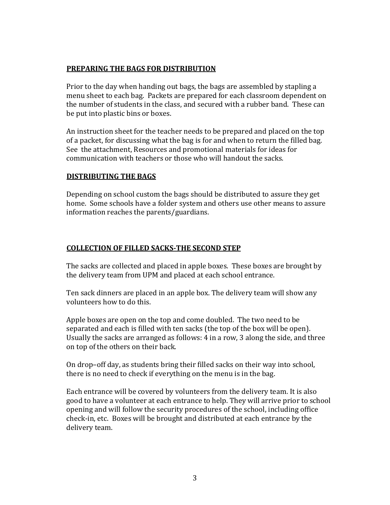#### **PREPARING THE BAGS FOR DISTRIBUTION**

Prior to the day when handing out bags, the bags are assembled by stapling a menu sheet to each bag. Packets are prepared for each classroom dependent on the number of students in the class, and secured with a rubber band. These can be put into plastic bins or boxes.

An instruction sheet for the teacher needs to be prepared and placed on the top of a packet, for discussing what the bag is for and when to return the filled bag. See the attachment, Resources and promotional materials for ideas for communication with teachers or those who will handout the sacks.

#### **DISTRIBUTING THE BAGS**

Depending on school custom the bags should be distributed to assure they get home. Some schools have a folder system and others use other means to assure information reaches the parents/guardians.

#### **COLLECTION OF FILLED SACKS-THE SECOND STEP**

The sacks are collected and placed in apple boxes. These boxes are brought by the delivery team from UPM and placed at each school entrance.

Ten sack dinners are placed in an apple box. The delivery team will show any volunteers how to do this.

Apple boxes are open on the top and come doubled. The two need to be separated and each is filled with ten sacks (the top of the box will be open). Usually the sacks are arranged as follows: 4 in a row, 3 along the side, and three on top of the others on their back.

On drop–off day, as students bring their filled sacks on their way into school, there is no need to check if everything on the menu is in the bag.

Each entrance will be covered by volunteers from the delivery team. It is also good to have a volunteer at each entrance to help. They will arrive prior to school opening and will follow the security procedures of the school, including office check-in, etc. Boxes will be brought and distributed at each entrance by the delivery team.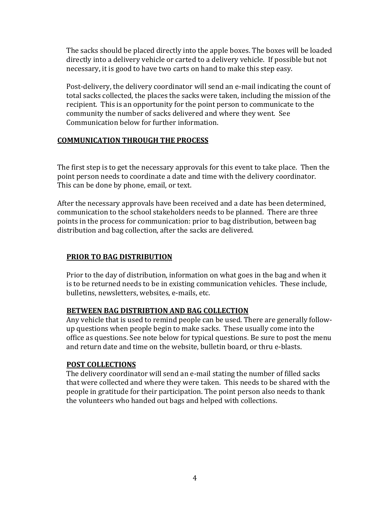The sacks should be placed directly into the apple boxes. The boxes will be loaded directly into a delivery vehicle or carted to a delivery vehicle. If possible but not necessary, it is good to have two carts on hand to make this step easy.

Post-delivery, the delivery coordinator will send an e-mail indicating the count of total sacks collected, the places the sacks were taken, including the mission of the recipient. This is an opportunity for the point person to communicate to the community the number of sacks delivered and where they went. See Communication below for further information.

#### **COMMUNICATION THROUGH THE PROCESS**

The first step is to get the necessary approvals for this event to take place. Then the point person needs to coordinate a date and time with the delivery coordinator. This can be done by phone, email, or text.

After the necessary approvals have been received and a date has been determined, communication to the school stakeholders needs to be planned. There are three points in the process for communication: prior to bag distribution, between bag distribution and bag collection, after the sacks are delivered.

## **PRIOR TO BAG DISTRIBUTION**

Prior to the day of distribution, information on what goes in the bag and when it is to be returned needs to be in existing communication vehicles. These include, bulletins, newsletters, websites, e-mails, etc.

#### **BETWEEN BAG DISTRIBTION AND BAG COLLECTION**

Any vehicle that is used to remind people can be used. There are generally followup questions when people begin to make sacks. These usually come into the office as questions. See note below for typical questions. Be sure to post the menu and return date and time on the website, bulletin board, or thru e-blasts.

#### **POST COLLECTIONS**

The delivery coordinator will send an e-mail stating the number of filled sacks that were collected and where they were taken. This needs to be shared with the people in gratitude for their participation. The point person also needs to thank the volunteers who handed out bags and helped with collections.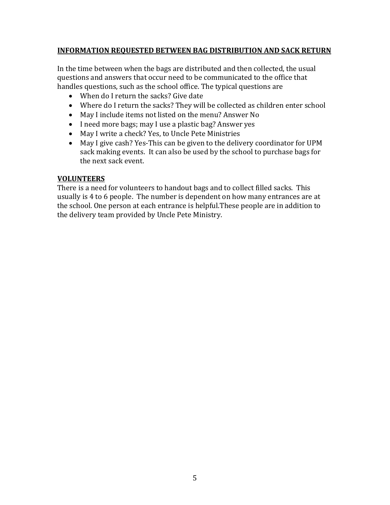#### **INFORMATION REQUESTED BETWEEN BAG DISTRIBUTION AND SACK RETURN**

In the time between when the bags are distributed and then collected, the usual questions and answers that occur need to be communicated to the office that handles questions, such as the school office. The typical questions are

- When do I return the sacks? Give date
- Where do I return the sacks? They will be collected as children enter school
- May I include items not listed on the menu? Answer No
- I need more bags; may I use a plastic bag? Answer yes
- May I write a check? Yes, to Uncle Pete Ministries
- May I give cash? Yes-This can be given to the delivery coordinator for UPM sack making events. It can also be used by the school to purchase bags for the next sack event.

#### **VOLUNTEERS**

There is a need for volunteers to handout bags and to collect filled sacks. This usually is 4 to 6 people. The number is dependent on how many entrances are at the school. One person at each entrance is helpful.These people are in addition to the delivery team provided by Uncle Pete Ministry.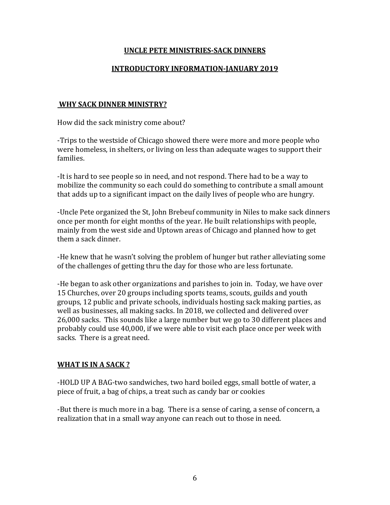#### **UNCLE PETE MINISTRIES-SACK DINNERS**

#### **INTRODUCTORY INFORMATION-JANUARY 2019**

#### **WHY SACK DINNER MINISTRY?**

How did the sack ministry come about?

-Trips to the westside of Chicago showed there were more and more people who were homeless, in shelters, or living on less than adequate wages to support their families.

-It is hard to see people so in need, and not respond. There had to be a way to mobilize the community so each could do something to contribute a small amount that adds up to a significant impact on the daily lives of people who are hungry.

-Uncle Pete organized the St, John Brebeuf community in Niles to make sack dinners once per month for eight months of the year. He built relationships with people, mainly from the west side and Uptown areas of Chicago and planned how to get them a sack dinner.

-He knew that he wasn't solving the problem of hunger but rather alleviating some of the challenges of getting thru the day for those who are less fortunate.

-He began to ask other organizations and parishes to join in. Today, we have over 15 Churches, over 20 groups including sports teams, scouts, guilds and youth groups, 12 public and private schools, individuals hosting sack making parties, as well as businesses, all making sacks. In 2018, we collected and delivered over 26,000 sacks. This sounds like a large number but we go to 30 different places and probably could use 40,000, if we were able to visit each place once per week with sacks. There is a great need.

#### **WHAT IS IN A SACK ?**

-HOLD UP A BAG-two sandwiches, two hard boiled eggs, small bottle of water, a piece of fruit, a bag of chips, a treat such as candy bar or cookies

-But there is much more in a bag. There is a sense of caring, a sense of concern, a realization that in a small way anyone can reach out to those in need.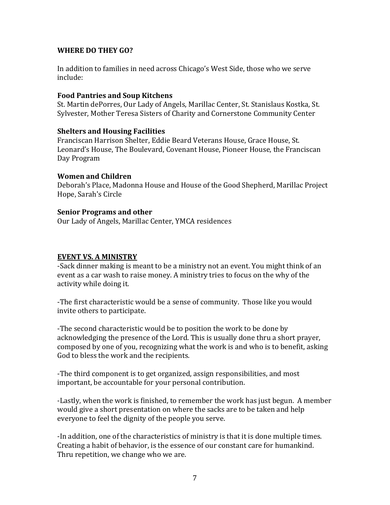#### **WHERE DO THEY GO?**

In addition to families in need across Chicago's West Side, those who we serve include:

#### **Food Pantries and Soup Kitchens**

St. Martin dePorres, Our Lady of Angels, Marillac Center, St. Stanislaus Kostka, St. Sylvester, Mother Teresa Sisters of Charity and Cornerstone Community Center

#### **Shelters and Housing Facilities**

Franciscan Harrison Shelter, Eddie Beard Veterans House, Grace House, St. Leonard's House, The Boulevard, Covenant House, Pioneer House, the Franciscan Day Program

#### **Women and Children**

Deborah's Place, Madonna House and House of the Good Shepherd, Marillac Project Hope, Sarah's Circle

#### **Senior Programs and other**

Our Lady of Angels, Marillac Center, YMCA residences

#### **EVENT VS. A MINISTRY**

-Sack dinner making is meant to be a ministry not an event. You might think of an event as a car wash to raise money. A ministry tries to focus on the why of the activity while doing it.

-The first characteristic would be a sense of community. Those like you would invite others to participate.

-The second characteristic would be to position the work to be done by acknowledging the presence of the Lord. This is usually done thru a short prayer, composed by one of you, recognizing what the work is and who is to benefit, asking God to bless the work and the recipients.

-The third component is to get organized, assign responsibilities, and most important, be accountable for your personal contribution.

-Lastly, when the work is finished, to remember the work has just begun. A member would give a short presentation on where the sacks are to be taken and help everyone to feel the dignity of the people you serve.

-In addition, one of the characteristics of ministry is that it is done multiple times. Creating a habit of behavior, is the essence of our constant care for humankind. Thru repetition, we change who we are.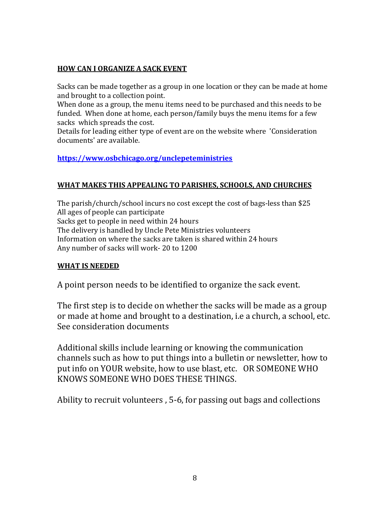# **HOW CAN I ORGANIZE A SACK EVENT**

Sacks can be made together as a group in one location or they can be made at home and brought to a collection point.

When done as a group, the menu items need to be purchased and this needs to be funded. When done at home, each person/family buys the menu items for a few sacks which spreads the cost.

Details for leading either type of event are on the website where 'Consideration documents' are available.

## **<https://www.osbchicago.org/unclepeteministries>**

## **WHAT MAKES THIS APPEALING TO PARISHES, SCHOOLS, AND CHURCHES**

The parish/church/school incurs no cost except the cost of bags-less than \$25 All ages of people can participate Sacks get to people in need within 24 hours The delivery is handled by Uncle Pete Ministries volunteers Information on where the sacks are taken is shared within 24 hours Any number of sacks will work- 20 to 1200

## **WHAT IS NEEDED**

A point person needs to be identified to organize the sack event.

The first step is to decide on whether the sacks will be made as a group or made at home and brought to a destination, i.e a church, a school, etc. See consideration documents

Additional skills include learning or knowing the communication channels such as how to put things into a bulletin or newsletter, how to put info on YOUR website, how to use blast, etc. OR SOMEONE WHO KNOWS SOMEONE WHO DOES THESE THINGS.

Ability to recruit volunteers , 5-6, for passing out bags and collections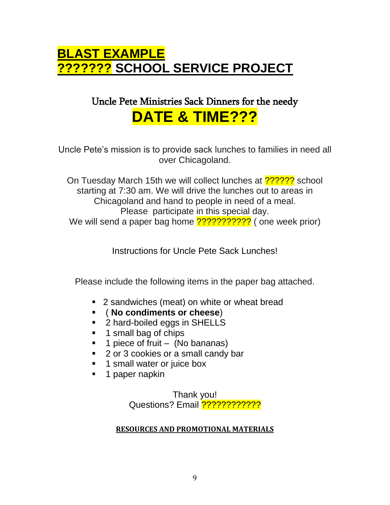# **BLAST EXAMPLE ??????? SCHOOL SERVICE PROJECT**

# Uncle Pete Ministries Sack Dinners for the needy **DATE & TIME???**

Uncle Pete's mission is to provide sack lunches to families in need all over Chicagoland.

On Tuesday March 15th we will collect lunches at  $\frac{22222}{2}$  school starting at 7:30 am. We will drive the lunches out to areas in Chicagoland and hand to people in need of a meal. Please participate in this special day. We will send a paper bag home ??????????????? ( one week prior)

Instructions for Uncle Pete Sack Lunches!

Please include the following items in the paper bag attached.

- 2 sandwiches (meat) on white or wheat bread
- ( **No condiments or cheese**)
- 2 hard-boiled eggs in SHELLS
- 1 small bag of chips
- $\blacksquare$  1 piece of fruit (No bananas)
- 2 or 3 cookies or a small candy bar
- **.** 1 small water or juice box
- 1 paper napkin

Thank you! Questions? Email ????????????

# **RESOURCES AND PROMOTIONAL MATERIALS**